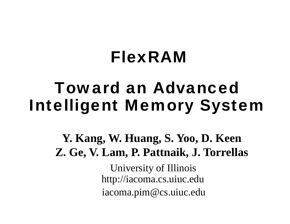# FlexRAM

# Toward an Advanced Intelligent Memory System

**Y. Kang, W. Huang, S. Yoo, D. Keen Z Ge V Lam P Pattnaik J Torrellas Z. Ge, V. Lam, P. Pattnaik, J.** 

> University of Illinois http://iacoma.cs.uiuc.edu iacoma.pim@cs.uiuc.edu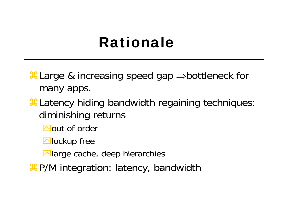# Rationale

 $\text{H}$  Large & increasing speed gap  $\Rightarrow$  bottleneck for many apps.

- $\frac{1}{26}$ **Latency hiding bandwidth regaining techniques:** diminishing returns
	- $\Box$ out of order
	- $\Box$ lockup free
	- $\Box$  large cache, deep hierarchies
- $\frac{1}{2}P/M$  **integration: latency, bandwidth**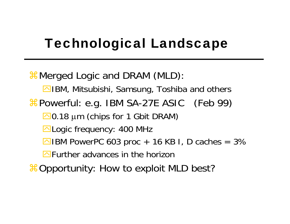### Technological Landscape

 $\frac{1}{26}$  Merged Logic and DRAM (MLD): **E**IBM, Mitsubishi, Samsung, Toshiba and others  $\pmb{\mathcal{X}}$ Powerful: e.g. IBM SA-27E ASIC (Feb 99) **ΔO.18** μm (chips for 1 Gbit DRAM) **⊠Logic frequency: 400 MHz**  $\Box$  IBM PowerPC 603 proc + 16 KB I, D caches = 3%  $\blacksquare$  Further advances in the horizon

 $\frac{a}{b}$  Opportunity: How to exploit MLD best?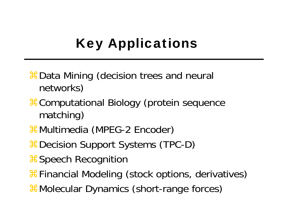# Key Applications

- $\pmb{\ast}$  Data Mining (decision trees and neural networks)
- $\frac{a}{b}$ **Computational Biology (protein sequence** matching)
- $\pmb{\ast}$ Multimedia (MPEG-2 Encoder)
- $\frac{1}{26}$  Decision Support Systems (TPC-D)
- **#Speech Recognition**
- $\frac{1}{26}$ **Financial Modeling (stock options, derivatives)**
- $#$ Molecular Dynamics (short-range forces)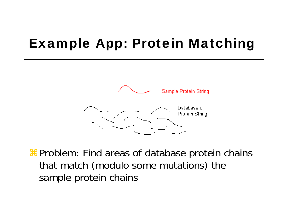### Example App: Protein Matching



aProblem: Find areas of database protein chains that match (modulo some mutations) the sample protein chains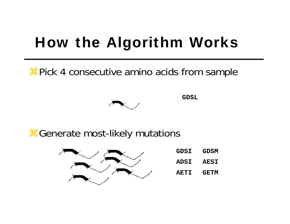# How the Algorithm Works

**<sup>36</sup> Pick 4 consecutive amino acids from sample** 



**GDSL**

& Generate most-likely mutations



| <b>GDSI</b> | <b>GDSM</b> |
|-------------|-------------|
| <b>ADSI</b> | <b>AESI</b> |
| <b>AETI</b> | <b>GETM</b> |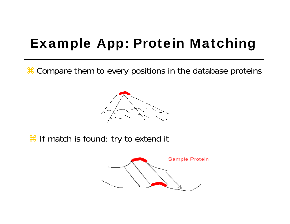## Example App: Protein Matching

**a** Compare them to every positions in the database proteins



**a If match is found: try to extend it** 

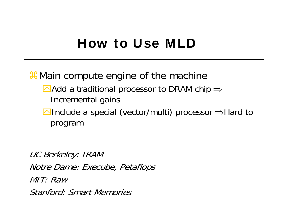#### How to Use MLD

 $\$$  Main compute engine of the machine

- $\blacktriangle$ Add a traditional processor to DRAM chip  $\Rightarrow$ Incremental gains
- **△Include a special (vector/multi) processor** ⇒Hard to program

UC Berkeley: IRAM Notre Dame: Execube, Petaflops MIT: RawStanford: Smart Memories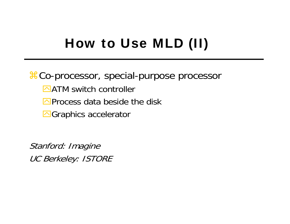### How to Use MLD (II)

 $\frac{12}{100}$ **Co-processor, special-purpose processor** 

- $\triangle$ ATM switch controller
- $\triangleright$ Process data beside the disk
- **E**Graphics accelerator

Stanford: Imagine UC Berkeley: ISTORE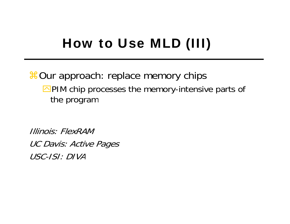## How to Use MLD (III)

#### **#Our approach: replace memory chips**  $\Box$ PIM chip processes the memory-intensive parts of the program

Illinois: FlexRAMUC Davis: Active Pages USC-ISI: DIVA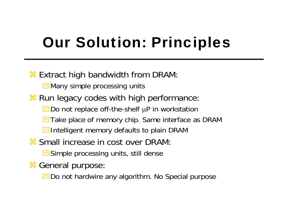# Our Solution: Principles

#### **a Extract high bandwidth from DRAM:**

 $\boxdot$  Many simple processing units

 $*$  Run legacy codes with high performance:

 $\Box$  Do not replace off-the-shelf  $\mu$ P in workstation

- $\Box$  Take place of memory chip. Same interface as DRAM
- $\triangleright$ Intelligent memory defaults to plain DRAM
- **a Small increase in cost over DRAM:**

 $\Box$  Simple processing units, still dense

**a General purpose:** 

 $\Box$  Do not hardwire any algorithm. No Special purpose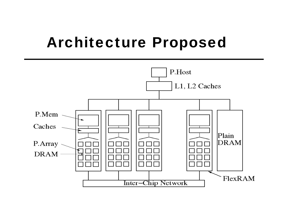# Architecture Proposed

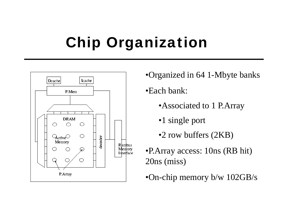# Chip Organization



- •Organized in 64 1-Mbyte banks
- •Each bank:
	- •Associated to 1 P.Array
	- •1 single port
	- •2 row buffers (2KB)
- •P.Array access: 10ns (RB hit) 20ns (miss)
- •On-chip memory b/w 102GB/s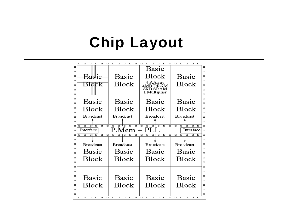# Chip Layout

|                  | $\Box$<br>□<br>□<br>□<br>□<br>□                                                                                                                                                                       | □<br>◻<br>□<br>□<br>□ | □<br>□<br>◻<br>□<br>□<br>□               | ◻<br>◻<br>□<br>□<br>□ |                  |  |
|------------------|-------------------------------------------------------------------------------------------------------------------------------------------------------------------------------------------------------|-----------------------|------------------------------------------|-----------------------|------------------|--|
| $\Box$<br>α      |                                                                                                                                                                                                       |                       | <b>Basic</b>                             |                       | $\Box$<br>$\Box$ |  |
| $\Box$           | BAR1C                                                                                                                                                                                                 | Basic                 | Block                                    | <b>Basic</b>          |                  |  |
| $\Box$           |                                                                                                                                                                                                       |                       | 4 P.Array<br>4MB DRAM<br><b>8KB SRAM</b> | Block                 | $\Box$           |  |
| $\Box$           | Block                                                                                                                                                                                                 | Block                 |                                          |                       | $\Box$           |  |
| $\Box$           |                                                                                                                                                                                                       |                       |                                          |                       |                  |  |
| $\Box$           |                                                                                                                                                                                                       |                       | 1 Multiplier                             |                       |                  |  |
| $\Box$           |                                                                                                                                                                                                       |                       |                                          | Basic                 |                  |  |
| $\Box$           | Basic                                                                                                                                                                                                 | Basic                 | Basic                                    |                       |                  |  |
| Ω                | Block                                                                                                                                                                                                 | Block                 | Block                                    | Block                 | п                |  |
| $\Box$           |                                                                                                                                                                                                       |                       |                                          |                       | $\Box$           |  |
| $\Box$           | Broadcast                                                                                                                                                                                             | <b>Broadcast</b>      | <b>Broadcast</b>                         | <b>Broadcast</b>      | $\Box$           |  |
| □                |                                                                                                                                                                                                       |                       |                                          |                       | ▭<br>$\Box$      |  |
| $\Box$<br>$\Box$ | $\Box$<br>$\Box$<br>$\Box$<br>$\Box$<br>ᆷ╹<br>$\Box$<br>$\Box$<br>$\Box$<br>▭<br>$\Box$<br>$\Box$<br>$\Box$<br>▭<br>$\Box$<br>Φ<br>$\Box$<br>α<br>$\Box$<br>P.Mem +<br>PIJ.<br>Interface<br>Interface |                       |                                          |                       |                  |  |
| □                | п<br>$\Box$<br>□<br>□<br>□                                                                                                                                                                            | п<br>п<br>п<br>◻      | □<br>□<br>◻<br>◻<br>▭<br>□               | □<br>□<br>□<br>□<br>□ | O<br>□           |  |
| $\Box$           |                                                                                                                                                                                                       |                       |                                          |                       | $\Box$           |  |
| Ω                | <b>Broadcast</b>                                                                                                                                                                                      | <b>Broadcast</b>      | <b>Broadcast</b>                         | <b>Broadcast</b>      | $\Box$           |  |
| $\Box$           |                                                                                                                                                                                                       |                       |                                          |                       |                  |  |
| □                | Basic                                                                                                                                                                                                 | Basic                 | Basic                                    | Basic                 | п                |  |
| $\Box$           | Block                                                                                                                                                                                                 | Block                 | Block                                    | Block                 | $\Box$           |  |
| $\Box$           |                                                                                                                                                                                                       |                       |                                          |                       | $\Box$           |  |
| $\Box$           |                                                                                                                                                                                                       |                       |                                          |                       | $\Box$           |  |
| $\Box$           |                                                                                                                                                                                                       |                       |                                          |                       | $\Box$           |  |
| $\Box$           | Basic                                                                                                                                                                                                 | Basic                 | <b>Basic</b><br>Block                    | Basic<br>Block        | $\Box$           |  |
| $\Box$           |                                                                                                                                                                                                       |                       |                                          |                       | п                |  |
| $\Box$           | Block                                                                                                                                                                                                 | Block                 |                                          |                       | $\Box$           |  |
| $\Box$           |                                                                                                                                                                                                       |                       |                                          |                       | □                |  |
| $\Box$           | □<br>□<br>□<br>□<br>□<br>□                                                                                                                                                                            | □<br>□<br>□<br>□<br>□ | □<br>□<br>□<br>□<br>□<br>$\Box$          | □<br>□<br>□<br>□<br>□ | ▭                |  |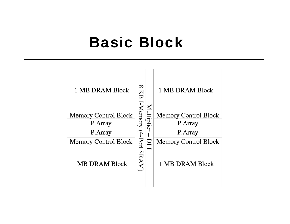### Basic Block

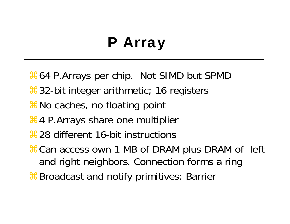# P Array

- $\frac{126}{100}$  **B. Arrays per chip. Not SIMD but SPMD**
- $\frac{12}{32}$ **-bit integer arithmetic; 16 registers**
- $\frac{1}{26}$  No caches, no floating point
- **Heta** P.Arrays share one multiplier
- $\frac{1}{28}$  28 different 16-bit instructions
- $\frac{1}{26}$ **Can access own 1 MB of DRAM plus DRAM of left** and right neighbors. Connection forms a ring
- **&Broadcast and notify primitives: Barrier**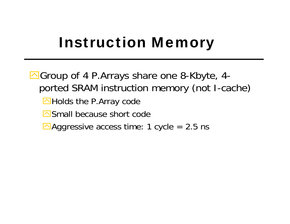# Instruction Memory

**△Group of 4 P.Arrays share one 8-Kbyte, 4**ported SRAM instruction memory (not I-cache) **MHolds the P.Array code** Small because short code  $\triangle$  Aggressive access time: 1 cycle = 2.5 ns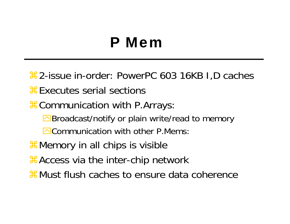# P Mem

 $\frac{42}{5}$  2-issue in-order: PowerPC 603 16KB I, D caches

- **a**Executes serial sections
- $\frac{1}{26}$ **Communication with P.Arrays:** 
	- **Broadcast/notify or plain write/read to memory**
	- **OCommunication with other P.Mems:**
- $\frac{1}{26}$  Memory in all chips is visible
- **ACCESS via the inter-chip network**
- **a Must flush caches to ensure data coherence**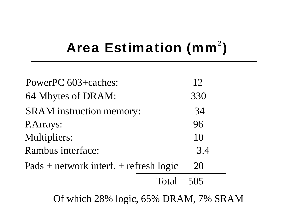# Area Estimation (mm<sup>2</sup>)

| PowerPC 603+caches:                    | 12  |
|----------------------------------------|-----|
| 64 Mbytes of DRAM:                     | 330 |
| <b>SRAM</b> instruction memory:        | 34  |
| P.Arrays:                              | 96  |
| <b>Multipliers:</b>                    | 10  |
| <b>Rambus interface:</b>               | 3.4 |
| Pads + network interf. + refresh logic | 20  |
| Total $-505$                           |     |
|                                        |     |

Of which 28% logic, 65% DRAM, 7% SRAM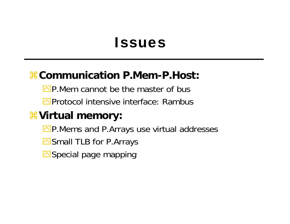#### Issues

#### a**Communication P.Mem-P.Host:**

 $\Box$ P.Mem cannot be the master of bus

**E**Protocol intensive interface: Rambus

#### a**Virtual memory:**

**OP Mems and P.Arrays use virtual addresses** 

Small TLB for P.Arrays

Special page mapping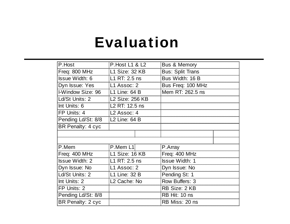## Evaluation

| P.Host                | P. Host L1 & L2           |  | <b>Bus &amp; Memory</b> |  |
|-----------------------|---------------------------|--|-------------------------|--|
| Freq: 800 MHz         | L1 Size: 32 KB            |  | <b>Bus: Split Trans</b> |  |
| <b>Issue Width: 6</b> | L1 RT: 2.5 ns             |  | Bus Width: 16 B         |  |
| Dyn Issue: Yes        | L1 Assoc: 2               |  | Bus Freq: 100 MHz       |  |
| I-Window Size: 96     | L1 Line: 64 B             |  | Mem RT: 262.5 ns        |  |
| Ld/St Units: 2        | <b>L2 Size: 256 KB</b>    |  |                         |  |
| Int Units: 6          | L2 RT: 12.5 ns            |  |                         |  |
| FP Units: 4           | L <sub>2</sub> Assoc: 4   |  |                         |  |
| Pending Ld/St: 8/8    | L <sub>2</sub> Line: 64 B |  |                         |  |
| BR Penalty: 4 cyc     |                           |  |                         |  |
|                       |                           |  |                         |  |
|                       |                           |  |                         |  |
| P.Mem                 | P.Mem L <sub>1</sub>      |  | P.Array                 |  |
| Freq: 400 MHz         | L1 Size: 16 KB            |  | Freq: 400 MHz           |  |
| <b>Issue Width: 2</b> | L1 RT: 2.5 ns             |  | <b>Issue Width: 1</b>   |  |
| Dyn Issue: No         | L1 Assoc: 2               |  | Dyn Issue: No           |  |
| Ld/St Units: 2        | L1 Line: 32 B             |  | Pending St: 1           |  |
| Int Units: 2          | L <sub>2</sub> Cache: No  |  | Row Buffers: 3          |  |
| FP Units: 2           |                           |  | RB Size: 2 KB           |  |
| Pending Ld/St: 8/8    |                           |  | RB Hit: 10 ns           |  |
| BR Penalty: 2 cyc     |                           |  | RB Miss: 20 ns          |  |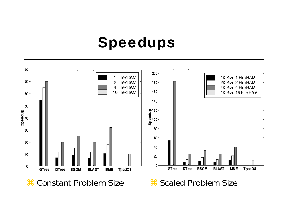## Speedups

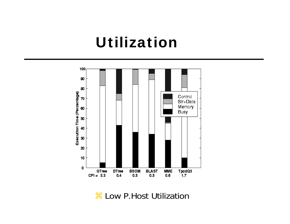#### Utilization



 $\frac{1}{26}$  **Low P. Host Utilization**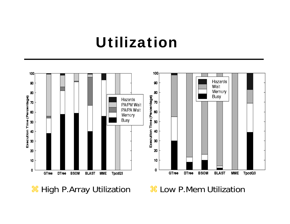### Utilization



**a High P.Array Utilization a Cow P.Mem Utilization**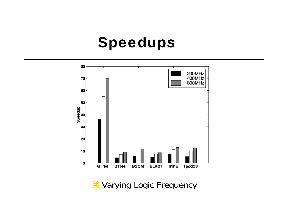#### Speedups



**& Varying Logic Frequency**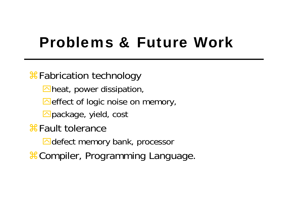# Problems & Future Work

#### $\frac{1}{26}$ **Fabrication technology**

 $\triangleright$  heat, power dissipation,

 $\triangle$  effect of logic noise on memory,

**E**package, yield, cost

 $\operatorname{\mathcal{B}}$  Fault tolerance 

 $\triangle$ defect memory bank, processor

 $\#$ Compiler, Programming Language.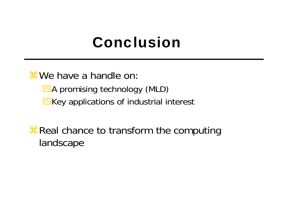# Conclusion

 $%$  We have a handle on:

 $\triangle$ A promising technology (MLD)  $\triangleright$ Key applications of industrial interest

**AREA** Real chance to transform the computing landscape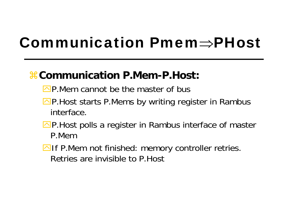# Communication Pmem⇒PHost

#### a**Communication P.Mem-P.Host:**

- $\Box$ P.Mem cannot be the master of bus
- $\Box$ P. Host starts P. Mems by writing register in Rambus interface.
- **OP. Host polls a register in Rambus interface of master** P.Mem
- $\Box$  If P.Mem not finished: memory controller retries. Retries are invisible to P.Host